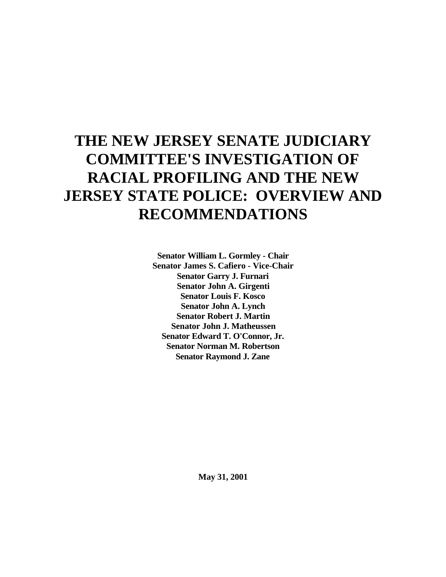# **THE NEW JERSEY SENATE JUDICIARY COMMITTEE'S INVESTIGATION OF RACIAL PROFILING AND THE NEW JERSEY STATE POLICE: OVERVIEW AND RECOMMENDATIONS**

**Senator William L. Gormley - Chair Senator James S. Cafiero - Vice-Chair Senator Garry J. Furnari Senator John A. Girgenti Senator Louis F. Kosco Senator John A. Lynch Senator Robert J. Martin Senator John J. Matheussen Senator Edward T. O'Connor, Jr. Senator Norman M. Robertson Senator Raymond J. Zane**

**May 31, 2001**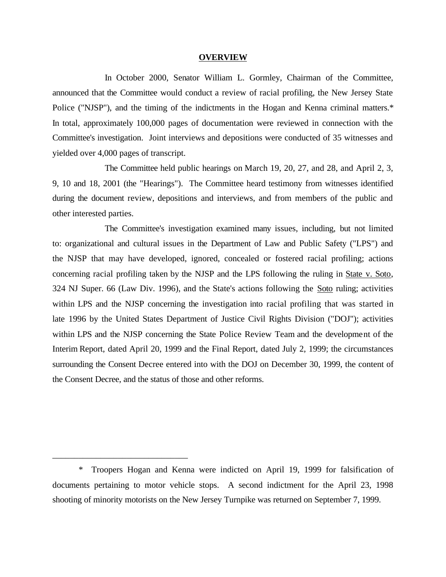#### **OVERVIEW**

In October 2000, Senator William L. Gormley, Chairman of the Committee, announced that the Committee would conduct a review of racial profiling, the New Jersey State Police ("NJSP"), and the timing of the indictments in the Hogan and Kenna criminal matters.\* In total, approximately 100,000 pages of documentation were reviewed in connection with the Committee's investigation. Joint interviews and depositions were conducted of 35 witnesses and yielded over 4,000 pages of transcript.

The Committee held public hearings on March 19, 20, 27, and 28, and April 2, 3, 9, 10 and 18, 2001 (the "Hearings"). The Committee heard testimony from witnesses identified during the document review, depositions and interviews, and from members of the public and other interested parties.

The Committee's investigation examined many issues, including, but not limited to: organizational and cultural issues in the Department of Law and Public Safety ("LPS") and the NJSP that may have developed, ignored, concealed or fostered racial profiling; actions concerning racial profiling taken by the NJSP and the LPS following the ruling in State v. Soto, 324 NJ Super. 66 (Law Div. 1996), and the State's actions following the Soto ruling; activities within LPS and the NJSP concerning the investigation into racial profiling that was started in late 1996 by the United States Department of Justice Civil Rights Division ("DOJ"); activities within LPS and the NJSP concerning the State Police Review Team and the development of the Interim Report, dated April 20, 1999 and the Final Report, dated July 2, 1999; the circumstances surrounding the Consent Decree entered into with the DOJ on December 30, 1999, the content of the Consent Decree, and the status of those and other reforms.

\_\_\_\_\_\_\_\_\_\_\_\_\_\_\_\_\_\_\_\_\_\_\_\_\_\_\_\_\_\_\_

<sup>\*</sup> Troopers Hogan and Kenna were indicted on April 19, 1999 for falsification of documents pertaining to motor vehicle stops. A second indictment for the April 23, 1998 shooting of minority motorists on the New Jersey Turnpike was returned on September 7, 1999.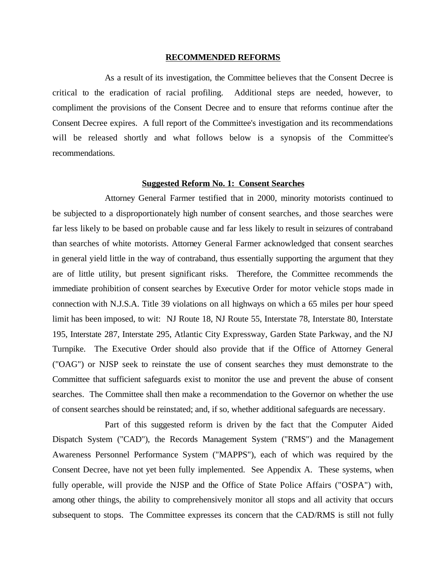#### **RECOMMENDED REFORMS**

As a result of its investigation, the Committee believes that the Consent Decree is critical to the eradication of racial profiling. Additional steps are needed, however, to compliment the provisions of the Consent Decree and to ensure that reforms continue after the Consent Decree expires. A full report of the Committee's investigation and its recommendations will be released shortly and what follows below is a synopsis of the Committee's recommendations.

#### **Suggested Reform No. 1: Consent Searches**

Attorney General Farmer testified that in 2000, minority motorists continued to be subjected to a disproportionately high number of consent searches, and those searches were far less likely to be based on probable cause and far less likely to result in seizures of contraband than searches of white motorists. Attorney General Farmer acknowledged that consent searches in general yield little in the way of contraband, thus essentially supporting the argument that they are of little utility, but present significant risks. Therefore, the Committee recommends the immediate prohibition of consent searches by Executive Order for motor vehicle stops made in connection with N.J.S.A. Title 39 violations on all highways on which a 65 miles per hour speed limit has been imposed, to wit: NJ Route 18, NJ Route 55, Interstate 78, Interstate 80, Interstate 195, Interstate 287, Interstate 295, Atlantic City Expressway, Garden State Parkway, and the NJ Turnpike. The Executive Order should also provide that if the Office of Attorney General ("OAG") or NJSP seek to reinstate the use of consent searches they must demonstrate to the Committee that sufficient safeguards exist to monitor the use and prevent the abuse of consent searches. The Committee shall then make a recommendation to the Governor on whether the use of consent searches should be reinstated; and, if so, whether additional safeguards are necessary.

Part of this suggested reform is driven by the fact that the Computer Aided Dispatch System ("CAD"), the Records Management System ("RMS") and the Management Awareness Personnel Performance System ("MAPPS"), each of which was required by the Consent Decree, have not yet been fully implemented. See Appendix A. These systems, when fully operable, will provide the NJSP and the Office of State Police Affairs ("OSPA") with, among other things, the ability to comprehensively monitor all stops and all activity that occurs subsequent to stops. The Committee expresses its concern that the CAD/RMS is still not fully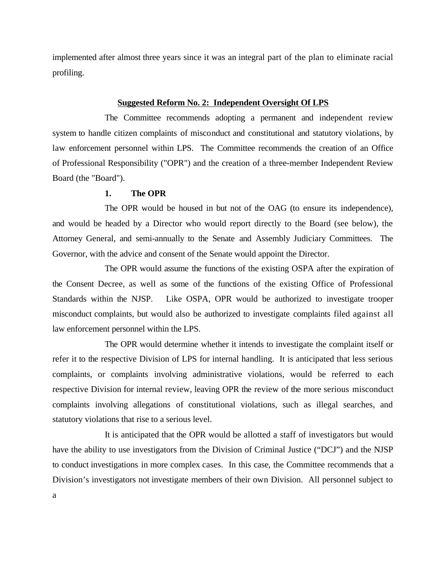implemented after almost three years since it was an integral part of the plan to eliminate racial profiling.

#### **Suggested Reform No. 2: Independent Oversight Of LPS**

The Committee recommends adopting a permanent and independent review system to handle citizen complaints of misconduct and constitutional and statutory violations, by law enforcement personnel within LPS. The Committee recommends the creation of an Office of Professional Responsibility ("OPR") and the creation of a three-member Independent Review Board (the "Board").

## **1. The OPR**

The OPR would be housed in but not of the OAG (to ensure its independence), and would be headed by a Director who would report directly to the Board (see below), the Attorney General, and semi-annually to the Senate and Assembly Judiciary Committees. The Governor, with the advice and consent of the Senate would appoint the Director.

The OPR would assume the functions of the existing OSPA after the expiration of the Consent Decree, as well as some of the functions of the existing Office of Professional Standards within the NJSP. Like OSPA, OPR would be authorized to investigate trooper misconduct complaints, but would also be authorized to investigate complaints filed against all law enforcement personnel within the LPS.

The OPR would determine whether it intends to investigate the complaint itself or refer it to the respective Division of LPS for internal handling. It is anticipated that less serious complaints, or complaints involving administrative violations, would be referred to each respective Division for internal review, leaving OPR the review of the more serious misconduct complaints involving allegations of constitutional violations, such as illegal searches, and statutory violations that rise to a serious level.

It is anticipated that the OPR would be allotted a staff of investigators but would have the ability to use investigators from the Division of Criminal Justice ("DCJ") and the NJSP to conduct investigations in more complex cases. In this case, the Committee recommends that a Division's investigators not investigate members of their own Division. All personnel subject to a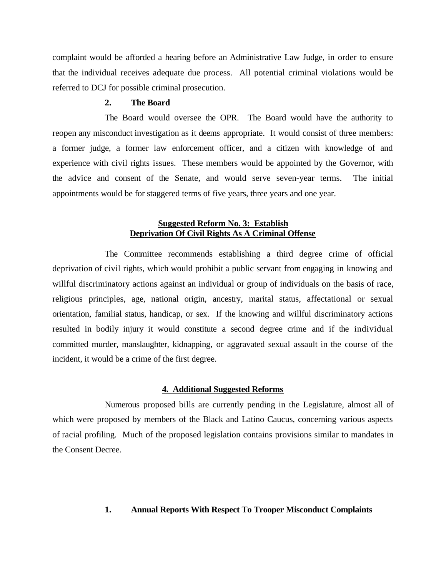complaint would be afforded a hearing before an Administrative Law Judge, in order to ensure that the individual receives adequate due process. All potential criminal violations would be referred to DCJ for possible criminal prosecution.

#### **2. The Board**

The Board would oversee the OPR. The Board would have the authority to reopen any misconduct investigation as it deems appropriate. It would consist of three members: a former judge, a former law enforcement officer, and a citizen with knowledge of and experience with civil rights issues. These members would be appointed by the Governor, with the advice and consent of the Senate, and would serve seven-year terms. The initial appointments would be for staggered terms of five years, three years and one year.

# **Suggested Reform No. 3: Establish Deprivation Of Civil Rights As A Criminal Offense**

The Committee recommends establishing a third degree crime of official deprivation of civil rights, which would prohibit a public servant from engaging in knowing and willful discriminatory actions against an individual or group of individuals on the basis of race, religious principles, age, national origin, ancestry, marital status, affectational or sexual orientation, familial status, handicap, or sex. If the knowing and willful discriminatory actions resulted in bodily injury it would constitute a second degree crime and if the individual committed murder, manslaughter, kidnapping, or aggravated sexual assault in the course of the incident, it would be a crime of the first degree.

#### **4. Additional Suggested Reforms**

Numerous proposed bills are currently pending in the Legislature, almost all of which were proposed by members of the Black and Latino Caucus, concerning various aspects of racial profiling. Much of the proposed legislation contains provisions similar to mandates in the Consent Decree.

## **1. Annual Reports With Respect To Trooper Misconduct Complaints**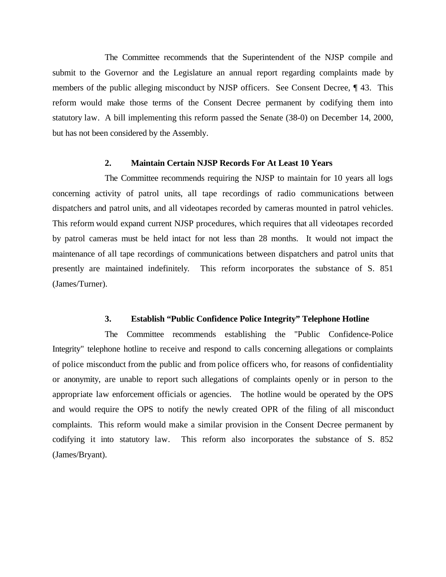The Committee recommends that the Superintendent of the NJSP compile and submit to the Governor and the Legislature an annual report regarding complaints made by members of the public alleging misconduct by NJSP officers. See Consent Decree, ¶ 43. This reform would make those terms of the Consent Decree permanent by codifying them into statutory law. A bill implementing this reform passed the Senate (38-0) on December 14, 2000, but has not been considered by the Assembly.

#### **2. Maintain Certain NJSP Records For At Least 10 Years**

The Committee recommends requiring the NJSP to maintain for 10 years all logs concerning activity of patrol units, all tape recordings of radio communications between dispatchers and patrol units, and all videotapes recorded by cameras mounted in patrol vehicles. This reform would expand current NJSP procedures, which requires that all videotapes recorded by patrol cameras must be held intact for not less than 28 months. It would not impact the maintenance of all tape recordings of communications between dispatchers and patrol units that presently are maintained indefinitely. This reform incorporates the substance of S. 851 (James/Turner).

#### **3. Establish "Public Confidence Police Integrity" Telephone Hotline**

The Committee recommends establishing the "Public Confidence-Police Integrity" telephone hotline to receive and respond to calls concerning allegations or complaints of police misconduct from the public and from police officers who, for reasons of confidentiality or anonymity, are unable to report such allegations of complaints openly or in person to the appropriate law enforcement officials or agencies. The hotline would be operated by the OPS and would require the OPS to notify the newly created OPR of the filing of all misconduct complaints. This reform would make a similar provision in the Consent Decree permanent by codifying it into statutory law. This reform also incorporates the substance of S. 852 (James/Bryant).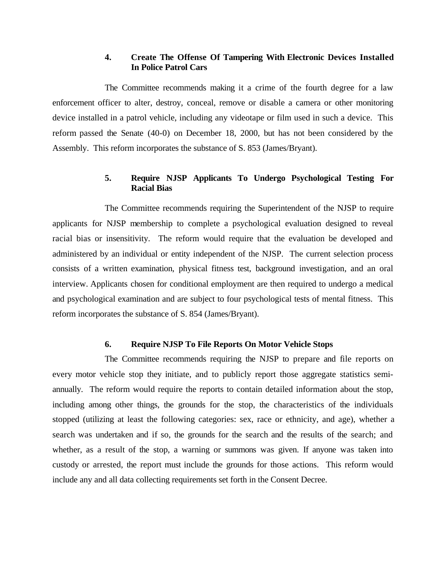# **4. Create The Offense Of Tampering With Electronic Devices Installed In Police Patrol Cars**

The Committee recommends making it a crime of the fourth degree for a law enforcement officer to alter, destroy, conceal, remove or disable a camera or other monitoring device installed in a patrol vehicle, including any videotape or film used in such a device. This reform passed the Senate (40-0) on December 18, 2000, but has not been considered by the Assembly. This reform incorporates the substance of S. 853 (James/Bryant).

# **5. Require NJSP Applicants To Undergo Psychological Testing For Racial Bias**

The Committee recommends requiring the Superintendent of the NJSP to require applicants for NJSP membership to complete a psychological evaluation designed to reveal racial bias or insensitivity. The reform would require that the evaluation be developed and administered by an individual or entity independent of the NJSP. The current selection process consists of a written examination, physical fitness test, background investigation, and an oral interview. Applicants chosen for conditional employment are then required to undergo a medical and psychological examination and are subject to four psychological tests of mental fitness. This reform incorporates the substance of S. 854 (James/Bryant).

## **6. Require NJSP To File Reports On Motor Vehicle Stops**

The Committee recommends requiring the NJSP to prepare and file reports on every motor vehicle stop they initiate, and to publicly report those aggregate statistics semiannually. The reform would require the reports to contain detailed information about the stop, including among other things, the grounds for the stop, the characteristics of the individuals stopped (utilizing at least the following categories: sex, race or ethnicity, and age), whether a search was undertaken and if so, the grounds for the search and the results of the search; and whether, as a result of the stop, a warning or summons was given. If anyone was taken into custody or arrested, the report must include the grounds for those actions. This reform would include any and all data collecting requirements set forth in the Consent Decree.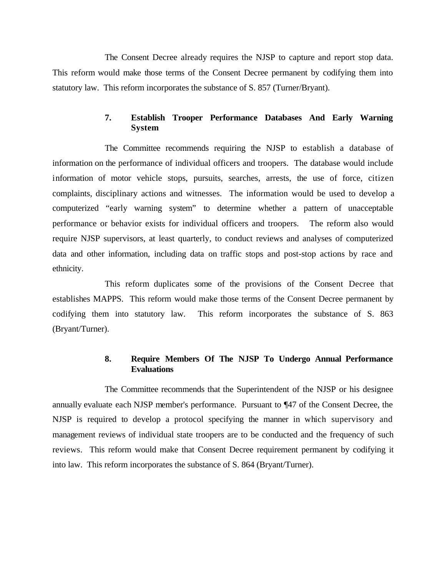The Consent Decree already requires the NJSP to capture and report stop data. This reform would make those terms of the Consent Decree permanent by codifying them into statutory law. This reform incorporates the substance of S. 857 (Turner/Bryant).

# **7. Establish Trooper Performance Databases And Early Warning System**

The Committee recommends requiring the NJSP to establish a database of information on the performance of individual officers and troopers. The database would include information of motor vehicle stops, pursuits, searches, arrests, the use of force, citizen complaints, disciplinary actions and witnesses. The information would be used to develop a computerized "early warning system" to determine whether a pattern of unacceptable performance or behavior exists for individual officers and troopers. The reform also would require NJSP supervisors, at least quarterly, to conduct reviews and analyses of computerized data and other information, including data on traffic stops and post-stop actions by race and ethnicity.

This reform duplicates some of the provisions of the Consent Decree that establishes MAPPS. This reform would make those terms of the Consent Decree permanent by codifying them into statutory law. This reform incorporates the substance of S. 863 (Bryant/Turner).

# **8. Require Members Of The NJSP To Undergo Annual Performance Evaluations**

The Committee recommends that the Superintendent of the NJSP or his designee annually evaluate each NJSP member's performance. Pursuant to ¶47 of the Consent Decree, the NJSP is required to develop a protocol specifying the manner in which supervisory and management reviews of individual state troopers are to be conducted and the frequency of such reviews. This reform would make that Consent Decree requirement permanent by codifying it into law. This reform incorporates the substance of S. 864 (Bryant/Turner).